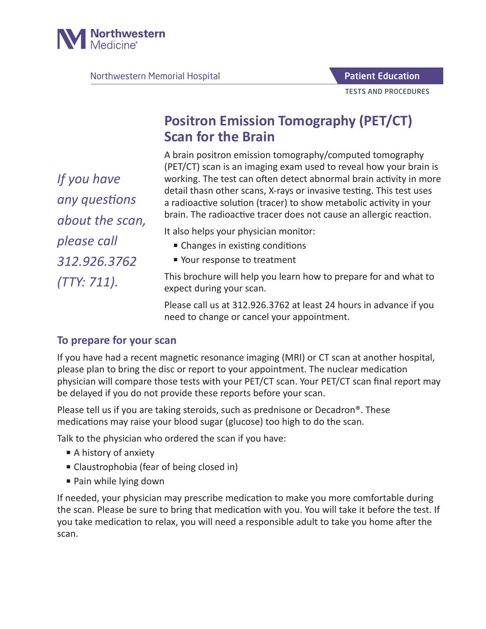

Northwestern Memorial Hospital

# **Positron Emission Tomography (PET/CT) Scan for the Brain**

A brain positron emission tomography/computed tomography (PET/CT) scan is an imaging exam used to reveal how your brain is working. The test can often detect abnormal brain activity in more detail thasn other scans, X-rays or invasive testing. This test uses a radioactive solution (tracer) to show metabolic activity in your brain. The radioactive tracer does not cause an allergic reaction.

It also helps your physician monitor:

- Changes in existing conditions
- Your response to treatment

This brochure will help you learn how to prepare for and what to expect during your scan.

Please call us at 312.926.3762 at least 24 hours in advance if you need to change or cancel your appointment.

## **To prepare for your scan**

If you have had a recent magnetic resonance imaging (MRI) or CT scan at another hospital, please plan to bring the disc or report to your appointment. The nuclear medication physician will compare those tests with your PET/CT scan. Your PET/CT scan final report may be delayed if you do not provide these reports before your scan.

Please tell us if you are taking steroids, such as prednisone or Decadron®. These medications may raise your blood sugar (glucose) too high to do the scan.

Talk to the physician who ordered the scan if you have:

- A history of anxiety
- Claustrophobia (fear of being closed in)
- Pain while lying down

If needed, your physician may prescribe medication to make you more comfortable during the scan. Please be sure to bring that medication with you. You will take it before the test. If you take medication to relax, you will need a responsible adult to take you home after the scan.

*If you have any questions about the scan, please call 312.926.3762 (TTY: 711).*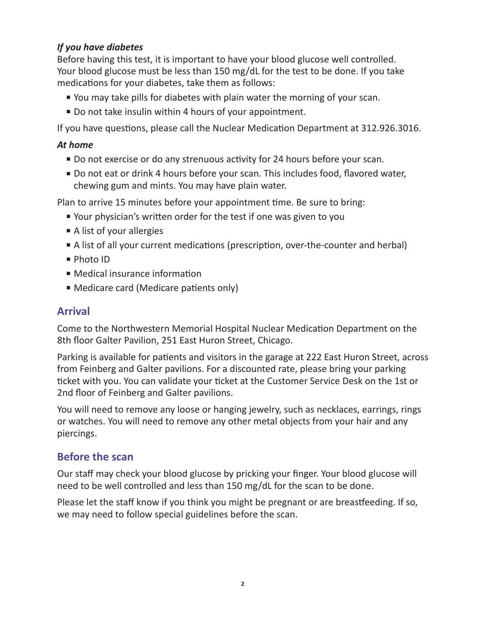#### *If you have diabetes*

Before having this test, it is important to have your blood glucose well controlled. Your blood glucose must be less than 150 mg/dL for the test to be done. If you take medications for your diabetes, take them as follows:

- You may take pills for diabetes with plain water the morning of your scan.
- Do not take insulin within 4 hours of your appointment.

If you have questions, please call the Nuclear Medication Department at 312.926.3016.

#### *At home*

- Do not exercise or do any strenuous activity for 24 hours before your scan.
- Do not eat or drink 4 hours before your scan. This includes food, flavored water, chewing gum and mints. You may have plain water.

Plan to arrive 15 minutes before your appointment time. Be sure to bring:

- Your physician's written order for the test if one was given to you
- A list of your allergies
- A list of all your current medications (prescription, over-the-counter and herbal)
- Photo ID
- Medical insurance information
- Medicare card (Medicare patients only)

## **Arrival**

Come to the Northwestern Memorial Hospital Nuclear Medication Department on the 8th floor Galter Pavilion, 251 East Huron Street, Chicago.

Parking is available for patients and visitors in the garage at 222 East Huron Street, across from Feinberg and Galter pavilions. For a discounted rate, please bring your parking ticket with you. You can validate your ticket at the Customer Service Desk on the 1st or 2nd floor of Feinberg and Galter pavilions.

You will need to remove any loose or hanging jewelry, such as necklaces, earrings, rings or watches. You will need to remove any other metal objects from your hair and any piercings.

## **Before the scan**

Our staff may check your blood glucose by pricking your finger. Your blood glucose will need to be well controlled and less than 150 mg/dL for the scan to be done.

Please let the staff know if you think you might be pregnant or are breastfeeding. If so, we may need to follow special guidelines before the scan.